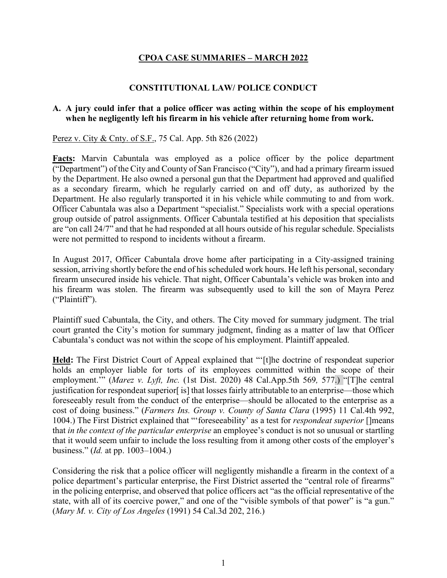# **CPOA CASE SUMMARIES – MARCH 2022**

### **CONSTITUTIONAL LAW/ POLICE CONDUCT**

### **A. A jury could infer that a police officer was acting within the scope of his employment when he negligently left his firearm in his vehicle after returning home from work.**

Perez v. City & Cnty. of S.F., 75 Cal. App. 5th 826 (2022)

**Facts:** Marvin Cabuntala was employed as a police officer by the police department ("Department") of the City and County of San Francisco ("City"), and had a primary firearm issued by the Department. He also owned a personal gun that the Department had approved and qualified as a secondary firearm, which he regularly carried on and off duty, as authorized by the Department. He also regularly transported it in his vehicle while commuting to and from work. Officer Cabuntala was also a Department "specialist." Specialists work with a special operations group outside of patrol assignments. Officer Cabuntala testified at his deposition that specialists are "on call 24/7" and that he had responded at all hours outside of his regular schedule. Specialists were not permitted to respond to incidents without a firearm.

In August 2017, Officer Cabuntala drove home after participating in a City-assigned training session, arriving shortly before the end of his scheduled work hours. He left his personal, secondary firearm unsecured inside his vehicle. That night, Officer Cabuntala's vehicle was broken into and his firearm was stolen. The firearm was subsequently used to kill the son of Mayra Perez ("Plaintiff").

Plaintiff sued Cabuntala, the City, and others. The City moved for summary judgment. The trial court granted the City's motion for summary judgment, finding as a matter of law that Officer Cabuntala's conduct was not within the scope of his employment. Plaintiff appealed.

**Held:** The First District Court of Appeal explained that "'[t]he doctrine of respondeat superior holds an employer liable for torts of its employees committed within the scope of their employment.'" (*Marez v. Lyft, Inc.* (1st Dist. 2020) 48 Cal.App.5th 569*,* 577.) "[T]he central justification for respondeat superior[ is] that losses fairly attributable to an enterprise—those which foreseeably result from the conduct of the enterprise—should be allocated to the enterprise as a cost of doing business." (*Farmers Ins. Group v. County of Santa Clara* (1995) 11 Cal.4th 992, 1004.) The First District explained that "'foreseeability' as a test for *respondeat superior* []means that *in the context of the particular enterprise* an employee's conduct is not so unusual or startling that it would seem unfair to include the loss resulting from it among other costs of the employer's business." (*Id.* at pp. 1003–1004.)

Considering the risk that a police officer will negligently mishandle a firearm in the context of a police department's particular enterprise, the First District asserted the "central role of firearms" in the policing enterprise, and observed that police officers act "as the official representative of the state, with all of its coercive power," and one of the "visible symbols of that power" is "a gun." (*Mary M. v. City of Los Angeles* (1991) 54 Cal.3d 202, 216.)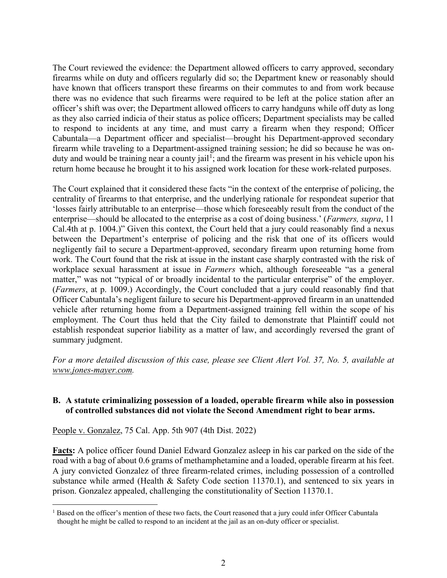The Court reviewed the evidence: the Department allowed officers to carry approved, secondary firearms while on duty and officers regularly did so; the Department knew or reasonably should have known that officers transport these firearms on their commutes to and from work because there was no evidence that such firearms were required to be left at the police station after an officer's shift was over; the Department allowed officers to carry handguns while off duty as long as they also carried indicia of their status as police officers; Department specialists may be called to respond to incidents at any time, and must carry a firearm when they respond; Officer Cabuntala—a Department officer and specialist—brought his Department-approved secondary firearm while traveling to a Department-assigned training session; he did so because he was on-duty and would be training near a county jail<sup>[1](#page-1-0)</sup>; and the firearm was present in his vehicle upon his return home because he brought it to his assigned work location for these work-related purposes.

The Court explained that it considered these facts "in the context of the enterprise of policing, the centrality of firearms to that enterprise, and the underlying rationale for respondeat superior that 'losses fairly attributable to an enterprise—those which foreseeably result from the conduct of the enterprise—should be allocated to the enterprise as a cost of doing business.' (*Farmers, supra*, 11 Cal.4th at p. 1004.)" Given this context, the Court held that a jury could reasonably find a nexus between the Department's enterprise of policing and the risk that one of its officers would negligently fail to secure a Department-approved, secondary firearm upon returning home from work. The Court found that the risk at issue in the instant case sharply contrasted with the risk of workplace sexual harassment at issue in *Farmers* which, although foreseeable "as a general matter," was not "typical of or broadly incidental to the particular enterprise" of the employer. (*Farmers*, at p. 1009.) Accordingly, the Court concluded that a jury could reasonably find that Officer Cabuntala's negligent failure to secure his Department-approved firearm in an unattended vehicle after returning home from a Department-assigned training fell within the scope of his employment. The Court thus held that the City failed to demonstrate that Plaintiff could not establish respondeat superior liability as a matter of law, and accordingly reversed the grant of summary judgment.

*For a more detailed discussion of this case, please see Client Alert Vol. 37, No. 5, available at [www.jones-mayer.com.](https://jones-mayer.com/)*

# **B. A statute criminalizing possession of a loaded, operable firearm while also in possession of controlled substances did not violate the Second Amendment right to bear arms.**

People v. Gonzalez, 75 Cal. App. 5th 907 (4th Dist. 2022)

**Facts:** A police officer found Daniel Edward Gonzalez asleep in his car parked on the side of the road with a bag of about 0.6 grams of methamphetamine and a loaded, operable firearm at his feet. A jury convicted Gonzalez of three firearm-related crimes, including possession of a controlled substance while armed (Health & Safety Code section 11370.1), and sentenced to six years in prison. Gonzalez appealed, challenging the constitutionality of Section 11370.1.

<span id="page-1-0"></span><sup>&</sup>lt;sup>1</sup> Based on the officer's mention of these two facts, the Court reasoned that a jury could infer Officer Cabuntala thought he might be called to respond to an incident at the jail as an on-duty officer or specialist.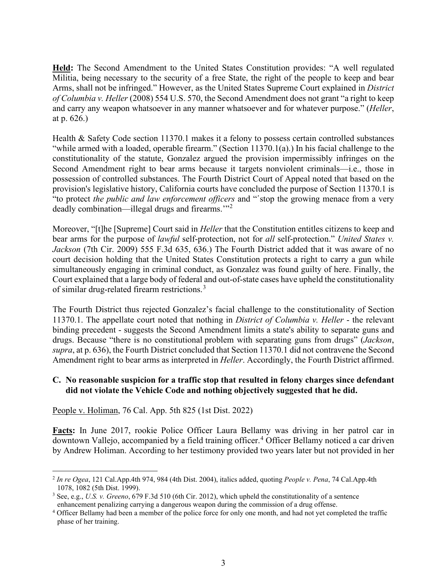**Held:** The Second Amendment to the United States Constitution provides: "A well regulated Militia, being necessary to the security of a free State, the right of the people to keep and bear Arms, shall not be infringed." However, as the United States Supreme Court explained in *District of Columbia v. Heller* (2008) 554 U.S. 570, the Second Amendment does not grant "a right to keep and carry any weapon whatsoever in any manner whatsoever and for whatever purpose." (*Heller*, at p. 626.)

Health & Safety Code section 11370.1 makes it a felony to possess certain controlled substances "while armed with a loaded, operable firearm." (Section 11370.1(a).) In his facial challenge to the constitutionality of the statute, Gonzalez argued the provision impermissibly infringes on the Second Amendment right to bear arms because it targets nonviolent criminals—i.e., those in possession of controlled substances. The Fourth District Court of Appeal noted that based on the provision's legislative history, California courts have concluded the purpose of Section 11370.1 is "to protect *the public and law enforcement officers* and "῾stop the growing menace from a very deadly combination—illegal drugs and firearms.'"[2](#page-2-0)

Moreover, "[t]he [Supreme] Court said in *Heller* that the Constitution entitles citizens to keep and bear arms for the purpose of *lawful* self-protection, not for *all* self-protection." *United States v. Jackson* (7th Cir. 2009) 555 F.3d 635, 636.) The Fourth District added that it was aware of no court decision holding that the United States Constitution protects a right to carry a gun while simultaneously engaging in criminal conduct, as Gonzalez was found guilty of here. Finally, the Court explained that a large body of federal and out-of-state cases have upheld the constitutionality of similar drug-related firearm restrictions.[3](#page-2-1)

The Fourth District thus rejected Gonzalez's facial challenge to the constitutionality of Section 11370.1. The appellate court noted that nothing in *District of Columbia v. Heller* - the relevant binding precedent - suggests the Second Amendment limits a state's ability to separate guns and drugs. Because "there is no constitutional problem with separating guns from drugs" (*Jackson*, *supra*, at p. 636), the Fourth District concluded that Section 11370.1 did not contravene the Second Amendment right to bear arms as interpreted in *Heller*. Accordingly, the Fourth District affirmed.

## **C. No reasonable suspicion for a traffic stop that resulted in felony charges since defendant did not violate the Vehicle Code and nothing objectively suggested that he did.**

People v. Holiman, 76 Cal. App. 5th 825 (1st Dist. 2022)

**Facts:** In June 2017, rookie Police Officer Laura Bellamy was driving in her patrol car in downtown Vallejo, accompanied by a field training officer. [4](#page-2-2) Officer Bellamy noticed a car driven by Andrew Holiman. According to her testimony provided two years later but not provided in her

<span id="page-2-0"></span><sup>2</sup> *In re Ogea*, 121 Cal.App.4th 974, 984 (4th Dist. 2004), italics added, quoting *People v. Pena*, 74 Cal.App.4th 1078, 1082 (5th Dist. 1999).

<span id="page-2-1"></span><sup>3</sup> See, e.g., *U.S. v. Greeno*, 679 F.3d 510 (6th Cir. 2012), which upheld the constitutionality of a sentence enhancement penalizing carrying a dangerous weapon during the commission of a drug offense.

<span id="page-2-2"></span><sup>4</sup> Officer Bellamy had been a member of the police force for only one month, and had not yet completed the traffic phase of her training.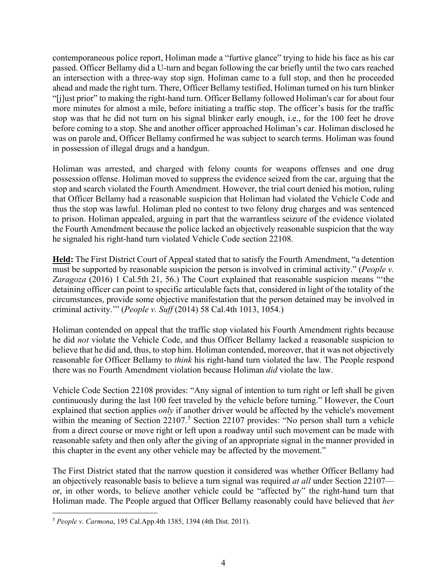contemporaneous police report, Holiman made a "furtive glance" trying to hide his face as his car passed. Officer Bellamy did a U-turn and began following the car briefly until the two cars reached an intersection with a three-way stop sign. Holiman came to a full stop, and then he proceeded ahead and made the right turn. There, Officer Bellamy testified, Holiman turned on his turn blinker "[j]ust prior" to making the right-hand turn. Officer Bellamy followed Holiman's car for about four more minutes for almost a mile, before initiating a traffic stop. The officer's basis for the traffic stop was that he did not turn on his signal blinker early enough, i.e., for the 100 feet he drove before coming to a stop. She and another officer approached Holiman's car. Holiman disclosed he was on parole and, Officer Bellamy confirmed he was subject to search terms. Holiman was found in possession of illegal drugs and a handgun.

Holiman was arrested, and charged with felony counts for weapons offenses and one drug possession offense. Holiman moved to suppress the evidence seized from the car, arguing that the stop and search violated the Fourth Amendment. However, the trial court denied his motion, ruling that Officer Bellamy had a reasonable suspicion that Holiman had violated the Vehicle Code and thus the stop was lawful. Holiman pled no contest to two felony drug charges and was sentenced to prison. Holiman appealed, arguing in part that the warrantless seizure of the evidence violated the Fourth Amendment because the police lacked an objectively reasonable suspicion that the way he signaled his right-hand turn violated Vehicle Code section 22108.

**Held:** The First District Court of Appeal stated that to satisfy the Fourth Amendment, "a detention must be supported by reasonable suspicion the person is involved in criminal activity." (*People v. Zaragoza* (2016) 1 Cal.5th 21, 56.) The Court explained that reasonable suspicion means "'the detaining officer can point to specific articulable facts that, considered in light of the totality of the circumstances, provide some objective manifestation that the person detained may be involved in criminal activity.'" (*People v. Suff* (2014) 58 Cal.4th 1013, 1054.)

Holiman contended on appeal that the traffic stop violated his Fourth Amendment rights because he did *not* violate the Vehicle Code, and thus Officer Bellamy lacked a reasonable suspicion to believe that he did and, thus, to stop him. Holiman contended, moreover, that it was not objectively reasonable for Officer Bellamy to *think* his right-hand turn violated the law. The People respond there was no Fourth Amendment violation because Holiman *did* violate the law.

Vehicle Code Section 22108 provides: "Any signal of intention to turn right or left shall be given continuously during the last 100 feet traveled by the vehicle before turning." However, the Court explained that section applies *only* if another driver would be affected by the vehicle's movement within the meaning of Section  $22107$ .<sup>[5](#page-3-0)</sup> Section 22107 provides: "No person shall turn a vehicle from a direct course or move right or left upon a roadway until such movement can be made with reasonable safety and then only after the giving of an appropriate signal in the manner provided in this chapter in the event any other vehicle may be affected by the movement."

The First District stated that the narrow question it considered was whether Officer Bellamy had an objectively reasonable basis to believe a turn signal was required *at all* under Section 22107 or, in other words, to believe another vehicle could be "affected by" the right-hand turn that Holiman made. The People argued that Officer Bellamy reasonably could have believed that *her* 

<span id="page-3-0"></span><sup>5</sup> *People v. Carmona*, 195 Cal.App.4th 1385, 1394 (4th Dist. 2011).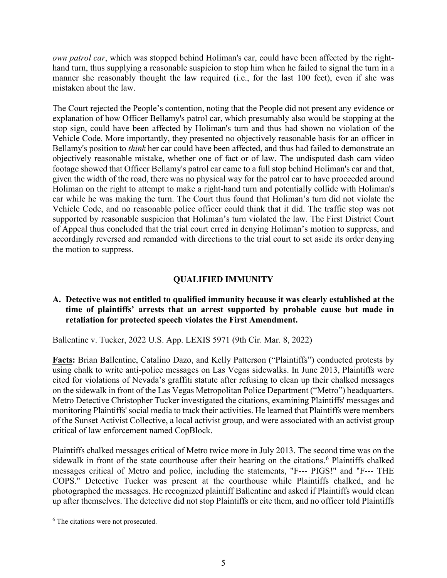*own patrol car*, which was stopped behind Holiman's car, could have been affected by the righthand turn, thus supplying a reasonable suspicion to stop him when he failed to signal the turn in a manner she reasonably thought the law required (i.e., for the last 100 feet), even if she was mistaken about the law.

The Court rejected the People's contention, noting that the People did not present any evidence or explanation of how Officer Bellamy's patrol car, which presumably also would be stopping at the stop sign, could have been affected by Holiman's turn and thus had shown no violation of the Vehicle Code. More importantly, they presented no objectively reasonable basis for an officer in Bellamy's position to *think* her car could have been affected, and thus had failed to demonstrate an objectively reasonable mistake, whether one of fact or of law. The undisputed dash cam video footage showed that Officer Bellamy's patrol car came to a full stop behind Holiman's car and that, given the width of the road, there was no physical way for the patrol car to have proceeded around Holiman on the right to attempt to make a right-hand turn and potentially collide with Holiman's car while he was making the turn. The Court thus found that Holiman's turn did not violate the Vehicle Code, and no reasonable police officer could think that it did. The traffic stop was not supported by reasonable suspicion that Holiman's turn violated the law. The First District Court of Appeal thus concluded that the trial court erred in denying Holiman's motion to suppress, and accordingly reversed and remanded with directions to the trial court to set aside its order denying the motion to suppress.

# **QUALIFIED IMMUNITY**

# **A. Detective was not entitled to qualified immunity because it was clearly established at the time of plaintiffs' arrests that an arrest supported by probable cause but made in retaliation for protected speech violates the First Amendment.**

Ballentine v. Tucker, 2022 U.S. App. LEXIS 5971 (9th Cir. Mar. 8, 2022)

**Facts:** Brian Ballentine, Catalino Dazo, and Kelly Patterson ("Plaintiffs") conducted protests by using chalk to write anti-police messages on Las Vegas sidewalks. In June 2013, Plaintiffs were cited for violations of Nevada's graffiti statute after refusing to clean up their chalked messages on the sidewalk in front of the Las Vegas Metropolitan Police Department ("Metro") headquarters. Metro Detective Christopher Tucker investigated the citations, examining Plaintiffs' messages and monitoring Plaintiffs' social media to track their activities. He learned that Plaintiffs were members of the Sunset Activist Collective, a local activist group, and were associated with an activist group critical of law enforcement named CopBlock.

Plaintiffs chalked messages critical of Metro twice more in July 2013. The second time was on the sidewalk in front of the state courthouse after their hearing on the citations.<sup>[6](#page-4-0)</sup> Plaintiffs chalked messages critical of Metro and police, including the statements, "F--- PIGS!" and "F--- THE COPS." Detective Tucker was present at the courthouse while Plaintiffs chalked, and he photographed the messages. He recognized plaintiff Ballentine and asked if Plaintiffs would clean up after themselves. The detective did not stop Plaintiffs or cite them, and no officer told Plaintiffs

<span id="page-4-0"></span><sup>6</sup> The citations were not prosecuted.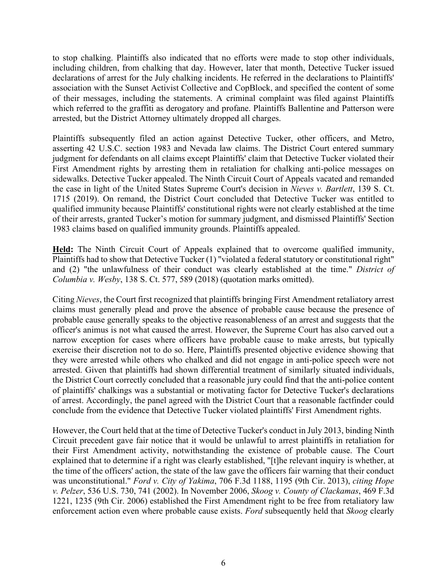to stop chalking. Plaintiffs also indicated that no efforts were made to stop other individuals, including children, from chalking that day. However, later that month, Detective Tucker issued declarations of arrest for the July chalking incidents. He referred in the declarations to Plaintiffs' association with the Sunset Activist Collective and CopBlock, and specified the content of some of their messages, including the statements. A criminal complaint was filed against Plaintiffs which referred to the graffiti as derogatory and profane. Plaintiffs Ballentine and Patterson were arrested, but the District Attorney ultimately dropped all charges.

Plaintiffs subsequently filed an action against Detective Tucker, other officers, and Metro, asserting 42 U.S.C. section 1983 and Nevada law claims. The District Court entered summary judgment for defendants on all claims except Plaintiffs' claim that Detective Tucker violated their First Amendment rights by arresting them in retaliation for chalking anti-police messages on sidewalks. Detective Tucker appealed. The Ninth Circuit Court of Appeals vacated and remanded the case in light of the United States Supreme Court's decision in *Nieves v. Bartlett*, 139 S. Ct. 1715 (2019). On remand, the District Court concluded that Detective Tucker was entitled to qualified immunity because Plaintiffs' constitutional rights were not clearly established at the time of their arrests, granted Tucker's motion for summary judgment, and dismissed Plaintiffs' Section 1983 claims based on qualified immunity grounds. Plaintiffs appealed.

**Held:** The Ninth Circuit Court of Appeals explained that to overcome qualified immunity, Plaintiffs had to show that Detective Tucker (1) "violated a federal statutory or constitutional right" and (2) "the unlawfulness of their conduct was clearly established at the time." *District of Columbia v. Wesby*, 138 S. Ct. 577, 589 (2018) (quotation marks omitted).

Citing *Nieves*, the Court first recognized that plaintiffs bringing First Amendment retaliatory arrest claims must generally plead and prove the absence of probable cause because the presence of probable cause generally speaks to the objective reasonableness of an arrest and suggests that the officer's animus is not what caused the arrest. However, the Supreme Court has also carved out a narrow exception for cases where officers have probable cause to make arrests, but typically exercise their discretion not to do so. Here, Plaintiffs presented objective evidence showing that they were arrested while others who chalked and did not engage in anti-police speech were not arrested. Given that plaintiffs had shown differential treatment of similarly situated individuals, the District Court correctly concluded that a reasonable jury could find that the anti-police content of plaintiffs' chalkings was a substantial or motivating factor for Detective Tucker's declarations of arrest. Accordingly, the panel agreed with the District Court that a reasonable factfinder could conclude from the evidence that Detective Tucker violated plaintiffs' First Amendment rights.

However, the Court held that at the time of Detective Tucker's conduct in July 2013, binding Ninth Circuit precedent gave fair notice that it would be unlawful to arrest plaintiffs in retaliation for their First Amendment activity, notwithstanding the existence of probable cause. The Court explained that to determine if a right was clearly established, "[t]he relevant inquiry is whether, at the time of the officers' action, the state of the law gave the officers fair warning that their conduct was unconstitutional." *Ford v. City of Yakima*, 706 F.3d 1188, 1195 (9th Cir. 2013), *citing Hope v. Pelzer*, 536 U.S. 730, 741 (2002). In November 2006, *Skoog v. County of Clackamas*, 469 F.3d 1221, 1235 (9th Cir. 2006) established the First Amendment right to be free from retaliatory law enforcement action even where probable cause exists. *Ford* subsequently held that *Skoog* clearly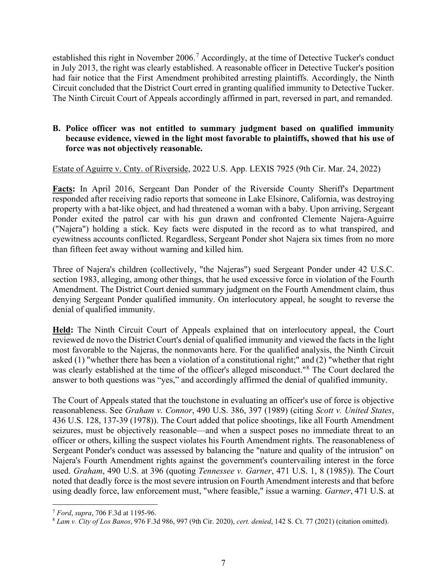established this right in November 2006.<sup>[7](#page-6-0)</sup> Accordingly, at the time of Detective Tucker's conduct in July 2013, the right was clearly established. A reasonable officer in Detective Tucker's position had fair notice that the First Amendment prohibited arresting plaintiffs. Accordingly, the Ninth Circuit concluded that the District Court erred in granting qualified immunity to Detective Tucker. The Ninth Circuit Court of Appeals accordingly affirmed in part, reversed in part, and remanded.

# **B. Police officer was not entitled to summary judgment based on qualified immunity because evidence, viewed in the light most favorable to plaintiffs, showed that his use of force was not objectively reasonable.**

Estate of Aguirre v. Cnty. of Riverside, 2022 U.S. App. LEXIS 7925 (9th Cir. Mar. 24, 2022)

Facts: In April 2016, Sergeant Dan Ponder of the Riverside County Sheriff's Department responded after receiving radio reports that someone in Lake Elsinore, California, was destroying property with a bat-like object, and had threatened a woman with a baby. Upon arriving, Sergeant Ponder exited the patrol car with his gun drawn and confronted Clemente Najera-Aguirre ("Najera") holding a stick. Key facts were disputed in the record as to what transpired, and eyewitness accounts conflicted. Regardless, Sergeant Ponder shot Najera six times from no more than fifteen feet away without warning and killed him.

Three of Najera's children (collectively, "the Najeras") sued Sergeant Ponder under 42 U.S.C. section 1983, alleging, among other things, that he used excessive force in violation of the Fourth Amendment. The District Court denied summary judgment on the Fourth Amendment claim, thus denying Sergeant Ponder qualified immunity. On interlocutory appeal, he sought to reverse the denial of qualified immunity.

**Held:** The Ninth Circuit Court of Appeals explained that on interlocutory appeal, the Court reviewed de novo the District Court's denial of qualified immunity and viewed the facts in the light most favorable to the Najeras, the nonmovants here. For the qualified analysis, the Ninth Circuit asked (1) "whether there has been a violation of a constitutional right;" and (2) "whether that right was clearly established at the time of the officer's alleged misconduct."[8](#page-6-1) The Court declared the answer to both questions was "yes," and accordingly affirmed the denial of qualified immunity.

The Court of Appeals stated that the touchstone in evaluating an officer's use of force is objective reasonableness. See *Graham v. Connor*, 490 U.S. 386, 397 (1989) (citing *Scott v. United States*, 436 U.S. 128, 137-39 (1978)). The Court added that police shootings, like all Fourth Amendment seizures, must be objectively reasonable—and when a suspect poses no immediate threat to an officer or others, killing the suspect violates his Fourth Amendment rights. The reasonableness of Sergeant Ponder's conduct was assessed by balancing the "nature and quality of the intrusion" on Najera's Fourth Amendment rights against the government's countervailing interest in the force used. *Graham*, 490 U.S. at 396 (quoting *Tennessee v. Garner*, 471 U.S. 1, 8 (1985)). The Court noted that deadly force is the most severe intrusion on Fourth Amendment interests and that before using deadly force, law enforcement must, "where feasible," issue a warning. *Garner*, 471 U.S. at

<span id="page-6-0"></span><sup>7</sup> *Ford*, *supra*, 706 F.3d at 1195-96.

<span id="page-6-1"></span><sup>8</sup> *Lam v. City of Los Banos*, 976 F.3d 986, 997 (9th Cir. 2020), *cert. denied*, 142 S. Ct. 77 (2021) (citation omitted).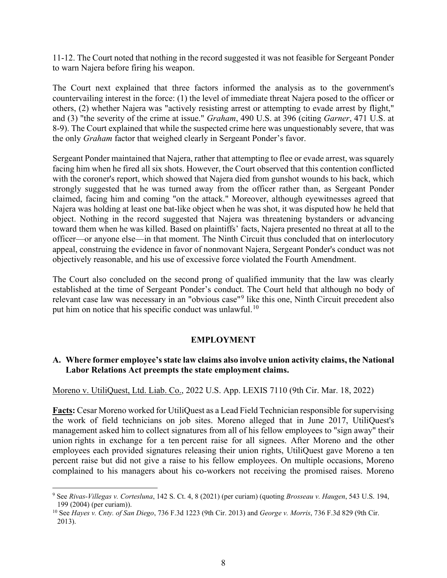11-12. The Court noted that nothing in the record suggested it was not feasible for Sergeant Ponder to warn Najera before firing his weapon.

The Court next explained that three factors informed the analysis as to the government's countervailing interest in the force: (1) the level of immediate threat Najera posed to the officer or others, (2) whether Najera was "actively resisting arrest or attempting to evade arrest by flight," and (3) "the severity of the crime at issue." *Graham*, 490 U.S. at 396 (citing *Garner*, 471 U.S. at 8-9). The Court explained that while the suspected crime here was unquestionably severe, that was the only *Graham* factor that weighed clearly in Sergeant Ponder's favor.

Sergeant Ponder maintained that Najera, rather that attempting to flee or evade arrest, was squarely facing him when he fired all six shots. However, the Court observed that this contention conflicted with the coroner's report, which showed that Najera died from gunshot wounds to his back, which strongly suggested that he was turned away from the officer rather than, as Sergeant Ponder claimed, facing him and coming "on the attack." Moreover, although eyewitnesses agreed that Najera was holding at least one bat-like object when he was shot, it was disputed how he held that object. Nothing in the record suggested that Najera was threatening bystanders or advancing toward them when he was killed. Based on plaintiffs' facts, Najera presented no threat at all to the officer—or anyone else—in that moment. The Ninth Circuit thus concluded that on interlocutory appeal, construing the evidence in favor of nonmovant Najera, Sergeant Ponder's conduct was not objectively reasonable, and his use of excessive force violated the Fourth Amendment.

The Court also concluded on the second prong of qualified immunity that the law was clearly established at the time of Sergeant Ponder's conduct. The Court held that although no body of relevant case law was necessary in an "obvious case"[9](#page-7-0) like this one, Ninth Circuit precedent also put him on notice that his specific conduct was unlawful.<sup>[10](#page-7-1)</sup>

### **EMPLOYMENT**

## **A. Where former employee's state law claims also involve union activity claims, the National Labor Relations Act preempts the state employment claims.**

### Moreno v. UtiliQuest, Ltd. Liab. Co., 2022 U.S. App. LEXIS 7110 (9th Cir. Mar. 18, 2022)

**Facts:** Cesar Moreno worked for UtiliQuest as a Lead Field Technician responsible for supervising the work of field technicians on job sites. Moreno alleged that in June 2017, UtiliQuest's management asked him to collect signatures from all of his fellow employees to "sign away" their union rights in exchange for a ten percent raise for all signees. After Moreno and the other employees each provided signatures releasing their union rights, UtiliQuest gave Moreno a ten percent raise but did not give a raise to his fellow employees. On multiple occasions, Moreno complained to his managers about his co-workers not receiving the promised raises. Moreno

<span id="page-7-0"></span><sup>9</sup> See *Rivas-Villegas v. Cortesluna*, 142 S. Ct. 4, 8 (2021) (per curiam) (quoting *Brosseau v. Haugen*, 543 U.S. 194, 199 (2004) (per curiam)).

<span id="page-7-1"></span><sup>10</sup> See *Hayes v. Cnty. of San Diego*, 736 F.3d 1223 (9th Cir. 2013) and *George v. Morris*, 736 F.3d 829 (9th Cir. 2013).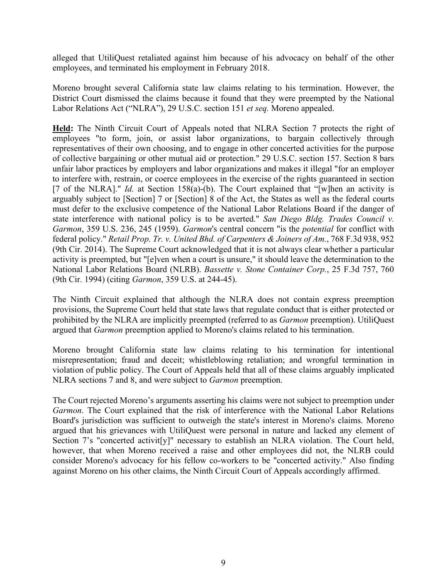alleged that UtiliQuest retaliated against him because of his advocacy on behalf of the other employees, and terminated his employment in February 2018.

Moreno brought several California state law claims relating to his termination. However, the District Court dismissed the claims because it found that they were preempted by the National Labor Relations Act ("NLRA"), 29 U.S.C. section 151 *et seq.* Moreno appealed.

**Held:** The Ninth Circuit Court of Appeals noted that NLRA Section 7 protects the right of employees "to form, join, or assist labor organizations, to bargain collectively through representatives of their own choosing, and to engage in other concerted activities for the purpose of collective bargaining or other mutual aid or protection." 29 U.S.C. section 157. Section 8 bars unfair labor practices by employers and labor organizations and makes it illegal "for an employer to interfere with, restrain, or coerce employees in the exercise of the rights guaranteed in section [7 of the NLRA]." *Id.* at Section 158(a)-(b). The Court explained that "[w]hen an activity is arguably subject to [Section] 7 or [Section] 8 of the Act, the States as well as the federal courts must defer to the exclusive competence of the National Labor Relations Board if the danger of state interference with national policy is to be averted." *San Diego Bldg. Trades Council v. Garmon*, 359 U.S. 236, 245 (1959). *Garmon*'s central concern "is the *potential* for conflict with federal policy." *Retail Prop. Tr. v. United Bhd. of Carpenters & Joiners of Am.*, 768 F.3d 938, 952 (9th Cir. 2014). The Supreme Court acknowledged that it is not always clear whether a particular activity is preempted, but "[e]ven when a court is unsure," it should leave the determination to the National Labor Relations Board (NLRB). *Bassette v. Stone Container Corp.*, 25 F.3d 757, 760 (9th Cir. 1994) (citing *Garmon*, 359 U.S. at 244-45).

The Ninth Circuit explained that although the NLRA does not contain express preemption provisions, the Supreme Court held that state laws that regulate conduct that is either protected or prohibited by the NLRA are implicitly preempted (referred to as *Garmon* preemption). UtiliQuest argued that *Garmon* preemption applied to Moreno's claims related to his termination.

Moreno brought California state law claims relating to his termination for intentional misrepresentation; fraud and deceit; whistleblowing retaliation; and wrongful termination in violation of public policy. The Court of Appeals held that all of these claims arguably implicated NLRA sections 7 and 8, and were subject to *Garmon* preemption.

The Court rejected Moreno's arguments asserting his claims were not subject to preemption under *Garmon*. The Court explained that the risk of interference with the National Labor Relations Board's jurisdiction was sufficient to outweigh the state's interest in Moreno's claims. Moreno argued that his grievances with UtiliQuest were personal in nature and lacked any element of Section 7's "concerted activit[y]" necessary to establish an NLRA violation. The Court held, however, that when Moreno received a raise and other employees did not, the NLRB could consider Moreno's advocacy for his fellow co-workers to be "concerted activity." Also finding against Moreno on his other claims, the Ninth Circuit Court of Appeals accordingly affirmed.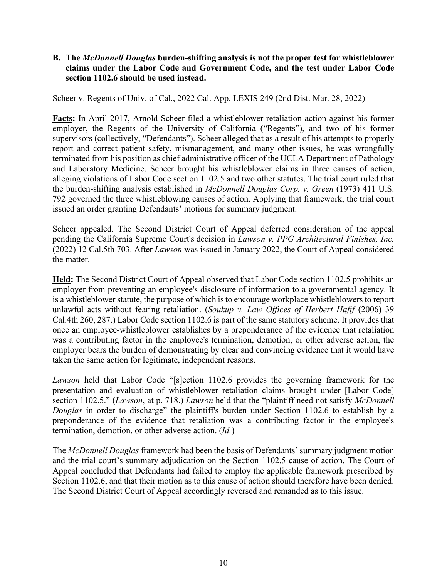## **B. The** *McDonnell Douglas* **burden-shifting analysis is not the proper test for whistleblower claims under the Labor Code and Government Code, and the test under Labor Code section 1102.6 should be used instead.**

Scheer v. Regents of Univ. of Cal., 2022 Cal. App. LEXIS 249 (2nd Dist. Mar. 28, 2022)

**Facts:** In April 2017, Arnold Scheer filed a whistleblower retaliation action against his former employer, the Regents of the University of California ("Regents"), and two of his former supervisors (collectively, "Defendants"). Scheer alleged that as a result of his attempts to properly report and correct patient safety, mismanagement, and many other issues, he was wrongfully terminated from his position as chief administrative officer of the UCLA Department of Pathology and Laboratory Medicine. Scheer brought his whistleblower claims in three causes of action, alleging violations of Labor Code section 1102.5 and two other statutes. The trial court ruled that the burden-shifting analysis established in *McDonnell Douglas Corp. v. Green* (1973) 411 U.S. 792 governed the three whistleblowing causes of action. Applying that framework, the trial court issued an order granting Defendants' motions for summary judgment.

Scheer appealed. The Second District Court of Appeal deferred consideration of the appeal pending the California Supreme Court's decision in *Lawson v. PPG Architectural Finishes, Inc.* (2022) 12 Cal.5th 703. After *Lawson* was issued in January 2022, the Court of Appeal considered the matter.

**Held:** The Second District Court of Appeal observed that Labor Code section 1102.5 prohibits an employer from preventing an employee's disclosure of information to a governmental agency. It is a whistleblower statute, the purpose of which is to encourage workplace whistleblowers to report unlawful acts without fearing retaliation. (*Soukup v. Law Offices of Herbert Hafif* (2006) 39 Cal.4th 260, 287.) Labor Code section 1102.6 is part of the same statutory scheme. It provides that once an employee-whistleblower establishes by a preponderance of the evidence that retaliation was a contributing factor in the employee's termination, demotion, or other adverse action, the employer bears the burden of demonstrating by clear and convincing evidence that it would have taken the same action for legitimate, independent reasons.

*Lawson* held that Labor Code "[s]ection 1102.6 provides the governing framework for the presentation and evaluation of whistleblower retaliation claims brought under [Labor Code] section 1102.5." (*Lawson*, at p. 718.) *Lawson* held that the "plaintiff need not satisfy *McDonnell Douglas* in order to discharge" the plaintiff's burden under Section 1102.6 to establish by a preponderance of the evidence that retaliation was a contributing factor in the employee's termination, demotion, or other adverse action. (*Id.*)

The *McDonnell Douglas* framework had been the basis of Defendants' summary judgment motion and the trial court's summary adjudication on the Section 1102.5 cause of action. The Court of Appeal concluded that Defendants had failed to employ the applicable framework prescribed by Section 1102.6, and that their motion as to this cause of action should therefore have been denied. The Second District Court of Appeal accordingly reversed and remanded as to this issue.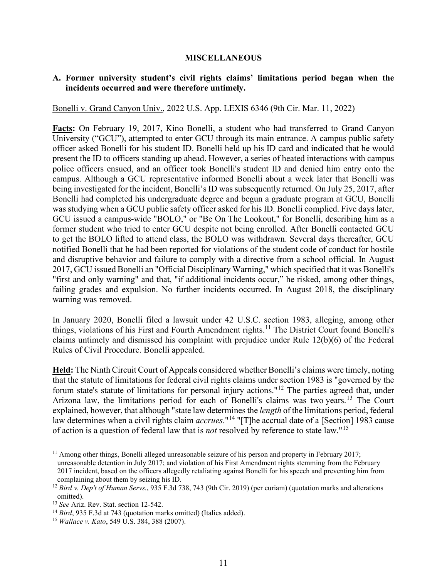#### **MISCELLANEOUS**

### **A. Former university student's civil rights claims' limitations period began when the incidents occurred and were therefore untimely.**

Bonelli v. Grand Canyon Univ., 2022 U.S. App. LEXIS 6346 (9th Cir. Mar. 11, 2022)

**Facts:** On February 19, 2017, Kino Bonelli, a student who had transferred to Grand Canyon University ("GCU"), attempted to enter GCU through its main entrance. A campus public safety officer asked Bonelli for his student ID. Bonelli held up his ID card and indicated that he would present the ID to officers standing up ahead. However, a series of heated interactions with campus police officers ensued, and an officer took Bonelli's student ID and denied him entry onto the campus. Although a GCU representative informed Bonelli about a week later that Bonelli was being investigated for the incident, Bonelli's ID was subsequently returned. On July 25, 2017, after Bonelli had completed his undergraduate degree and begun a graduate program at GCU, Bonelli was studying when a GCU public safety officer asked for his ID. Bonelli complied. Five days later, GCU issued a campus-wide "BOLO," or "Be On The Lookout," for Bonelli, describing him as a former student who tried to enter GCU despite not being enrolled. After Bonelli contacted GCU to get the BOLO lifted to attend class, the BOLO was withdrawn. Several days thereafter, GCU notified Bonelli that he had been reported for violations of the student code of conduct for hostile and disruptive behavior and failure to comply with a directive from a school official. In August 2017, GCU issued Bonelli an "Official Disciplinary Warning," which specified that it was Bonelli's "first and only warning" and that, "if additional incidents occur," he risked, among other things, failing grades and expulsion. No further incidents occurred. In August 2018, the disciplinary warning was removed.

In January 2020, Bonelli filed a lawsuit under 42 U.S.C. section 1983, alleging, among other things, violations of his First and Fourth Amendment rights.<sup>[11](#page-10-0)</sup> The District Court found Bonelli's claims untimely and dismissed his complaint with prejudice under Rule 12(b)(6) of the Federal Rules of Civil Procedure. Bonelli appealed.

**Held:** The Ninth Circuit Court of Appeals considered whether Bonelli's claims were timely, noting that the statute of limitations for federal civil rights claims under section 1983 is "governed by the forum state's statute of limitations for personal injury actions."[12](#page-10-1) The parties agreed that, under Arizona law, the limitations period for each of Bonelli's claims was two years.<sup>[13](#page-10-2)</sup> The Court explained, however, that although "state law determines the *length* of the limitations period, federal law determines when a civil rights claim *accrues*."[14](#page-10-3) "[T]he accrual date of a [Section] 1983 cause of action is a question of federal law that is *not* resolved by reference to state law."[15](#page-10-4) 

<span id="page-10-0"></span> $11$  Among other things, Bonelli alleged unreasonable seizure of his person and property in February 2017; unreasonable detention in July 2017; and violation of his First Amendment rights stemming from the February 2017 incident, based on the officers allegedly retaliating against Bonelli for his speech and preventing him from complaining about them by seizing his ID.

<span id="page-10-1"></span><sup>&</sup>lt;sup>12</sup> Bird v. Dep't of Human Servs., 935 F.3d 738, 743 (9th Cir. 2019) (per curiam) (quotation marks and alterations omitted).

<sup>13</sup> *See* Ariz. Rev. Stat. section 12-542.

<span id="page-10-4"></span><span id="page-10-3"></span><span id="page-10-2"></span><sup>14</sup> *Bird*, 935 F.3d at 743 (quotation marks omitted) (Italics added). 15 *Wallace v. Kato*, 549 U.S. 384, 388 (2007).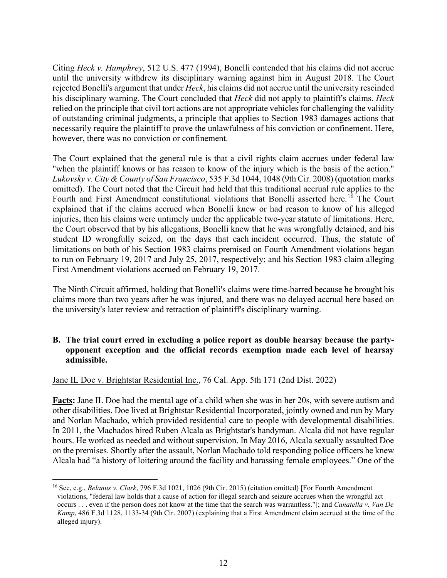Citing *Heck v. Humphrey*, 512 U.S. 477 (1994), Bonelli contended that his claims did not accrue until the university withdrew its disciplinary warning against him in August 2018. The Court rejected Bonelli's argument that under *Heck*, his claims did not accrue until the university rescinded his disciplinary warning. The Court concluded that *Heck* did not apply to plaintiff's claims. *Heck* relied on the principle that civil tort actions are not appropriate vehicles for challenging the validity of outstanding criminal judgments, a principle that applies to Section 1983 damages actions that necessarily require the plaintiff to prove the unlawfulness of his conviction or confinement. Here, however, there was no conviction or confinement.

The Court explained that the general rule is that a civil rights claim accrues under federal law "when the plaintiff knows or has reason to know of the injury which is the basis of the action." *Lukovsky v. City & County of San Francisco*, 535 F.3d 1044, 1048 (9th Cir. 2008) (quotation marks omitted). The Court noted that the Circuit had held that this traditional accrual rule applies to the Fourth and First Amendment constitutional violations that Bonelli asserted here.<sup>[16](#page-11-0)</sup> The Court explained that if the claims accrued when Bonelli knew or had reason to know of his alleged injuries, then his claims were untimely under the applicable two-year statute of limitations. Here, the Court observed that by his allegations, Bonelli knew that he was wrongfully detained, and his student ID wrongfully seized, on the days that each incident occurred. Thus, the statute of limitations on both of his Section 1983 claims premised on Fourth Amendment violations began to run on February 19, 2017 and July 25, 2017, respectively; and his Section 1983 claim alleging First Amendment violations accrued on February 19, 2017.

The Ninth Circuit affirmed, holding that Bonelli's claims were time-barred because he brought his claims more than two years after he was injured, and there was no delayed accrual here based on the university's later review and retraction of plaintiff's disciplinary warning.

# **B. The trial court erred in excluding a police report as double hearsay because the partyopponent exception and the official records exemption made each level of hearsay admissible.**

# Jane IL Doe v. Brightstar Residential Inc., 76 Cal. App. 5th 171 (2nd Dist. 2022)

**Facts:** Jane IL Doe had the mental age of a child when she was in her 20s, with severe autism and other disabilities. Doe lived at Brightstar Residential Incorporated, jointly owned and run by Mary and Norlan Machado, which provided residential care to people with developmental disabilities. In 2011, the Machados hired Ruben Alcala as Brightstar's handyman. Alcala did not have regular hours. He worked as needed and without supervision. In May 2016, Alcala sexually assaulted Doe on the premises. Shortly after the assault, Norlan Machado told responding police officers he knew Alcala had "a history of loitering around the facility and harassing female employees." One of the

<span id="page-11-0"></span><sup>16</sup> See, e.g., *Belanus v. Clark*, 796 F.3d 1021, 1026 (9th Cir. 2015) (citation omitted) [For Fourth Amendment violations, "federal law holds that a cause of action for illegal search and seizure accrues when the wrongful act occurs . . . even if the person does not know at the time that the search was warrantless."]; and *Canatella v. Van De Kamp*, 486 F.3d 1128, 1133-34 (9th Cir. 2007) (explaining that a First Amendment claim accrued at the time of the alleged injury).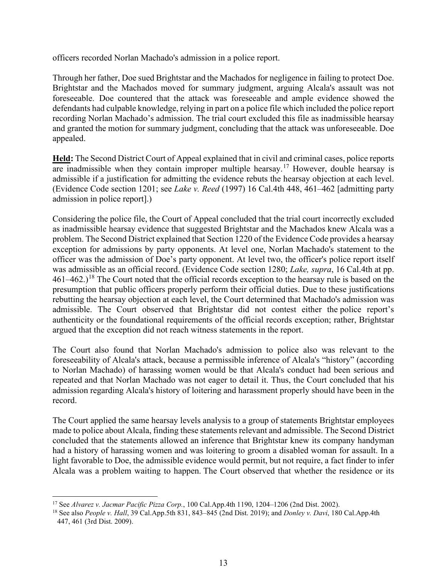officers recorded Norlan Machado's admission in a police report.

Through her father, Doe sued Brightstar and the Machados for negligence in failing to protect Doe. Brightstar and the Machados moved for summary judgment, arguing Alcala's assault was not foreseeable. Doe countered that the attack was foreseeable and ample evidence showed the defendants had culpable knowledge, relying in part on a police file which included the police report recording Norlan Machado's admission. The trial court excluded this file as inadmissible hearsay and granted the motion for summary judgment, concluding that the attack was unforeseeable. Doe appealed.

**Held:** The Second District Court of Appeal explained that in civil and criminal cases, police reports are inadmissible when they contain improper multiple hearsay.<sup>[17](#page-12-0)</sup> However, double hearsay is admissible if a justification for admitting the evidence rebuts the hearsay objection at each level. (Evidence Code section 1201; see *Lake v. Reed* (1997) 16 Cal.4th 448, 461–462 [admitting party admission in police report].)

Considering the police file, the Court of Appeal concluded that the trial court incorrectly excluded as inadmissible hearsay evidence that suggested Brightstar and the Machados knew Alcala was a problem. The Second District explained that Section 1220 of the Evidence Code provides a hearsay exception for admissions by party opponents. At level one, Norlan Machado's statement to the officer was the admission of Doe's party opponent. At level two, the officer's police report itself was admissible as an official record. (Evidence Code section 1280; *Lake, supra*, 16 Cal.4th at pp. 461–462.)<sup>18</sup> The Court noted that the official records exception to the hearsay rule is based on the presumption that public officers properly perform their official duties. Due to these justifications rebutting the hearsay objection at each level, the Court determined that Machado's admission was admissible. The Court observed that Brightstar did not contest either the police report's authenticity or the foundational requirements of the official records exception; rather, Brightstar argued that the exception did not reach witness statements in the report.

The Court also found that Norlan Machado's admission to police also was relevant to the foreseeability of Alcala's attack, because a permissible inference of Alcala's "history" (according to Norlan Machado) of harassing women would be that Alcala's conduct had been serious and repeated and that Norlan Machado was not eager to detail it. Thus, the Court concluded that his admission regarding Alcala's history of loitering and harassment properly should have been in the record.

The Court applied the same hearsay levels analysis to a group of statements Brightstar employees made to police about Alcala, finding these statements relevant and admissible. The Second District concluded that the statements allowed an inference that Brightstar knew its company handyman had a history of harassing women and was loitering to groom a disabled woman for assault. In a light favorable to Doe, the admissible evidence would permit, but not require, a fact finder to infer Alcala was a problem waiting to happen. The Court observed that whether the residence or its

<span id="page-12-0"></span><sup>17</sup> See *Alvarez v. Jacmar Pacific Pizza Corp.*, 100 Cal.App.4th 1190, 1204–1206 (2nd Dist. 2002).

<span id="page-12-1"></span><sup>18</sup> See also *People v. Hall*, 39 Cal.App.5th 831, 843–845 (2nd Dist. 2019); and *Donley v. Davi*, 180 Cal.App.4th 447, 461 (3rd Dist. 2009).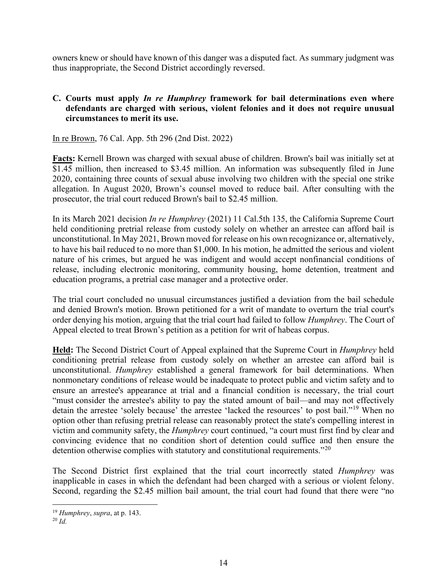owners knew or should have known of this danger was a disputed fact. As summary judgment was thus inappropriate, the Second District accordingly reversed.

# **C. Courts must apply** *In re Humphrey* **framework for bail determinations even where defendants are charged with serious, violent felonies and it does not require unusual circumstances to merit its use.**

In re Brown, 76 Cal. App. 5th 296 (2nd Dist. 2022)

**Facts:** Kernell Brown was charged with sexual abuse of children. Brown's bail was initially set at \$1.45 million, then increased to \$3.45 million. An information was subsequently filed in June 2020, containing three counts of sexual abuse involving two children with the special one strike allegation. In August 2020, Brown's counsel moved to reduce bail. After consulting with the prosecutor, the trial court reduced Brown's bail to \$2.45 million.

In its March 2021 decision *In re Humphrey* (2021) 11 Cal.5th 135, the California Supreme Court held conditioning pretrial release from custody solely on whether an arrestee can afford bail is unconstitutional. In May 2021, Brown moved for release on his own recognizance or, alternatively, to have his bail reduced to no more than \$1,000. In his motion, he admitted the serious and violent nature of his crimes, but argued he was indigent and would accept nonfinancial conditions of release, including electronic monitoring, community housing, home detention, treatment and education programs, a pretrial case manager and a protective order.

The trial court concluded no unusual circumstances justified a deviation from the bail schedule and denied Brown's motion. Brown petitioned for a writ of mandate to overturn the trial court's order denying his motion, arguing that the trial court had failed to follow *Humphrey*. The Court of Appeal elected to treat Brown's petition as a petition for writ of habeas corpus.

**Held:** The Second District Court of Appeal explained that the Supreme Court in *Humphrey* held conditioning pretrial release from custody solely on whether an arrestee can afford bail is unconstitutional. *Humphrey* established a general framework for bail determinations. When nonmonetary conditions of release would be inadequate to protect public and victim safety and to ensure an arrestee's appearance at trial and a financial condition is necessary, the trial court "must consider the arrestee's ability to pay the stated amount of bail—and may not effectively detain the arrestee 'solely because' the arrestee 'lacked the resources' to post bail."[19](#page-13-0) When no option other than refusing pretrial release can reasonably protect the state's compelling interest in victim and community safety, the *Humphrey* court continued, "a court must first find by clear and convincing evidence that no condition short of detention could suffice and then ensure the detention otherwise complies with statutory and constitutional requirements."<sup>[20](#page-13-1)</sup>

The Second District first explained that the trial court incorrectly stated *Humphrey* was inapplicable in cases in which the defendant had been charged with a serious or violent felony. Second, regarding the \$2.45 million bail amount, the trial court had found that there were "no

<span id="page-13-0"></span><sup>19</sup> *Humphrey*, *supra*, at p. 143.

<span id="page-13-1"></span><sup>20</sup> *Id.*